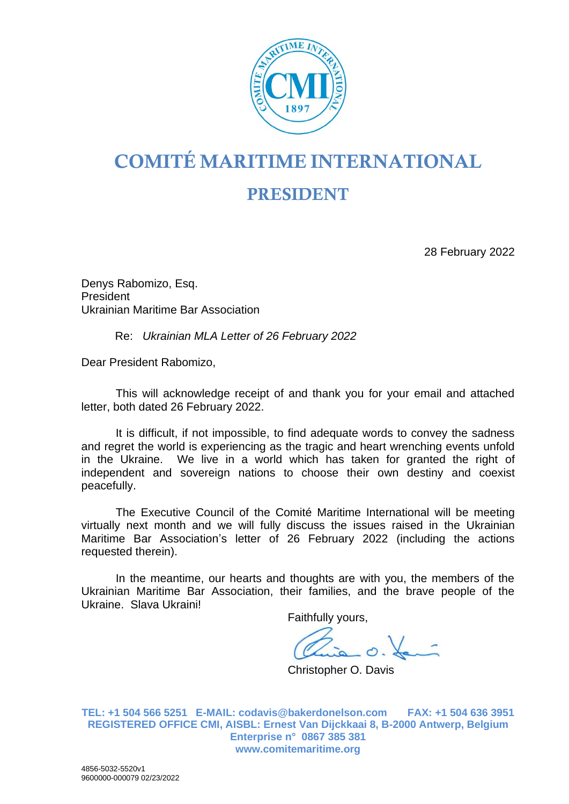

## COMITÉ MARITIME INTERNATIONAL

## PRESIDENT

28 February 2022

Denys Rabomizo, Esq. President Ukrainian Maritime Bar Association

## Re: *Ukrainian MLA Letter of 26 February 2022*

Dear President Rabomizo,

This will acknowledge receipt of and thank you for your email and attached letter, both dated 26 February 2022.

It is difficult, if not impossible, to find adequate words to convey the sadness and regret the world is experiencing as the tragic and heart wrenching events unfold in the Ukraine. We live in a world which has taken for granted the right of independent and sovereign nations to choose their own destiny and coexist peacefully.

The Executive Council of the Comité Maritime International will be meeting virtually next month and we will fully discuss the issues raised in the Ukrainian Maritime Bar Association's letter of 26 February 2022 (including the actions requested therein).

In the meantime, our hearts and thoughts are with you, the members of the Ukrainian Maritime Bar Association, their families, and the brave people of the Ukraine. Slava Ukraini!

Faithfully yours,

Christopher O. Davis

**TEL: +1 504 566 5251 E-MAIL: codavis@bakerdonelson.com FAX: +1 504 636 3951 REGISTERED OFFICE CMI, AISBL: Ernest Van Dijckkaai 8, B-2000 Antwerp, Belgium Enterprise n° 0867 385 381 www.comitemaritime.org**